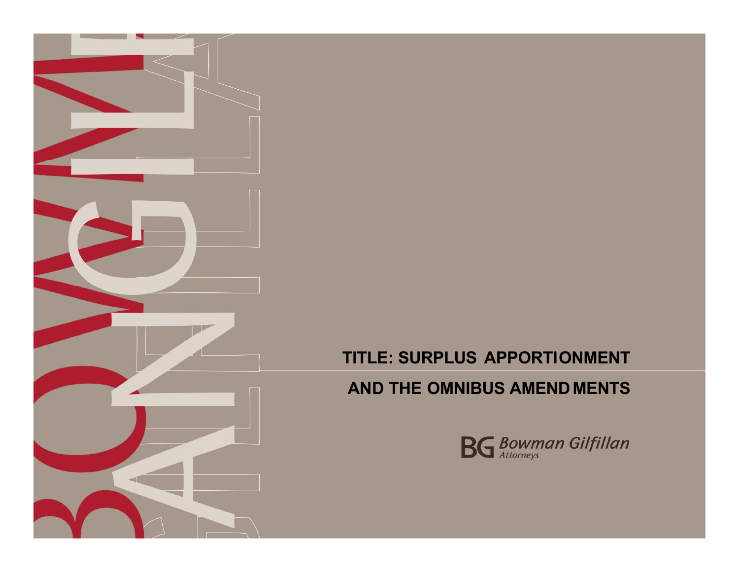

# **AND THE OMNIBUS AMEND MENTS**

This space for the time of the time of the time of the time of the time of the time of the time of the time of

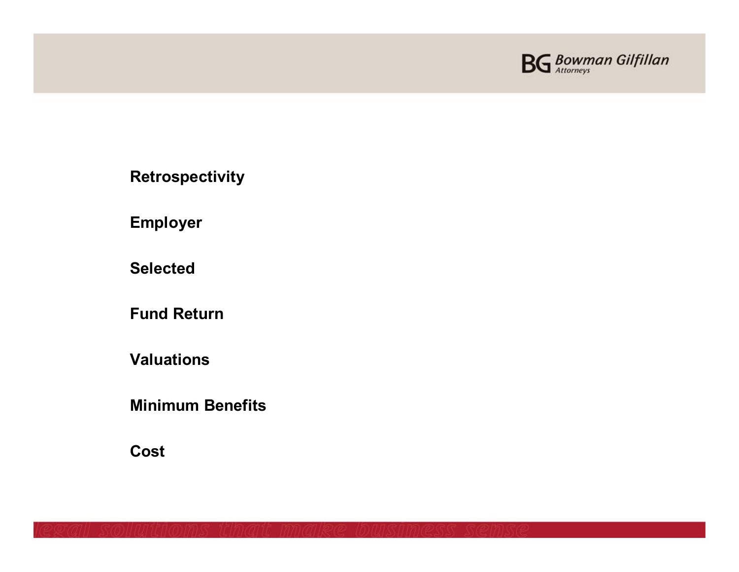

**Retrospectivity**

**Employer**

**Selected**

**Fund Return**

**Valuations**

**Minimum Benefits**

**Cost**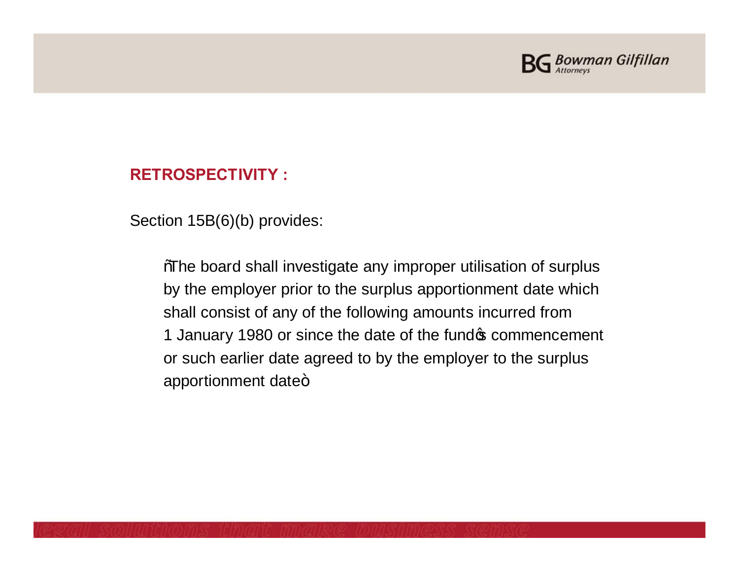

## **RETROSPECTIVITY :**

Section 15B(6)(b) provides:

%The board shall investigate any improper utilisation of surplus by the employer prior to the surplus apportionment date which shall consist of any of the following amounts incurred from 1 January 1980 or since the date of the fund oper commencement or such earlier date agreed to by the employer to the surplus apportionment date+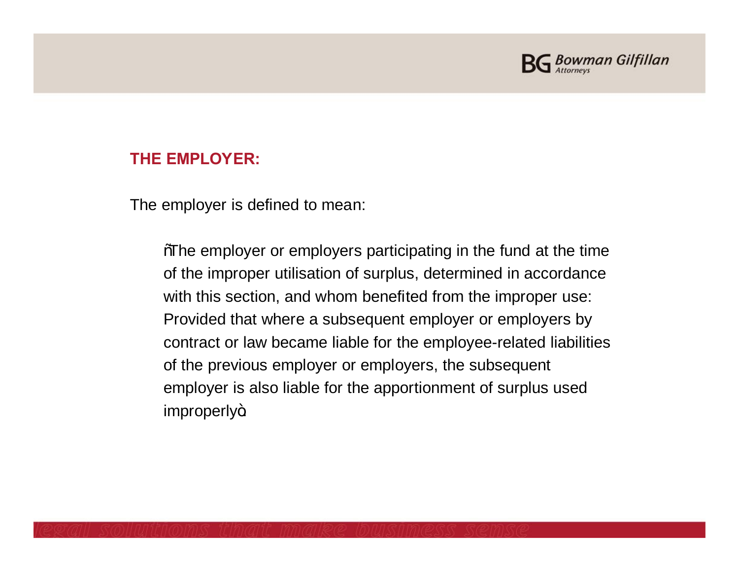

### **THE EMPLOYER:**

The employer is defined to mean:

"The employer or employers participating in the fund at the time of the improper utilisation of surplus, determined in accordance with this section, and whom benefited from the improper use: Provided that where a subsequent employer or employers by contract or law became liable for the employee-related liabilities of the previous employer or employers, the subsequent employer is also liable for the apportionment of surplus used improperly+.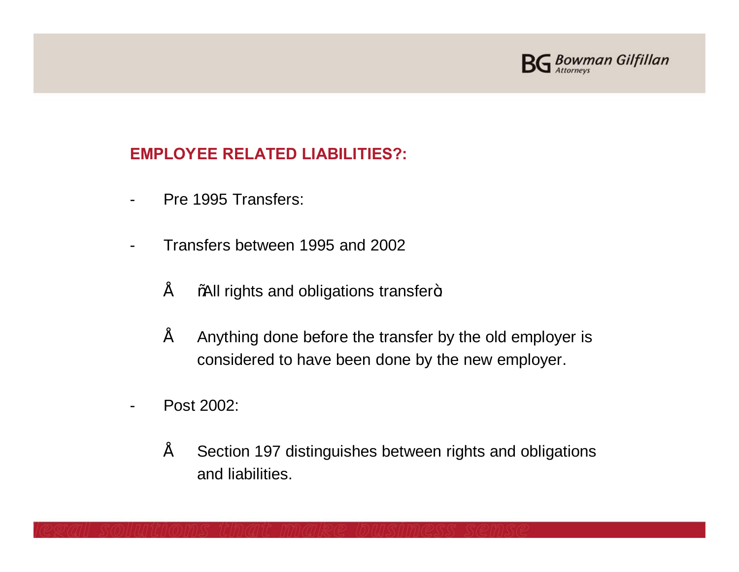

# **EMPLOYEE RELATED LIABILITIES?:**

- Pre 1995 Transfers:
- Transfers between 1995 and 2002
	- $"$  %. What rights and obligations transfer $\pm$
	- $\tilde{P}$  Anything done before the transfer by the old employer is considered to have been done by the new employer.
- Post 2002:
	- Section 197 distinguishes between rights and obligations and liabilities.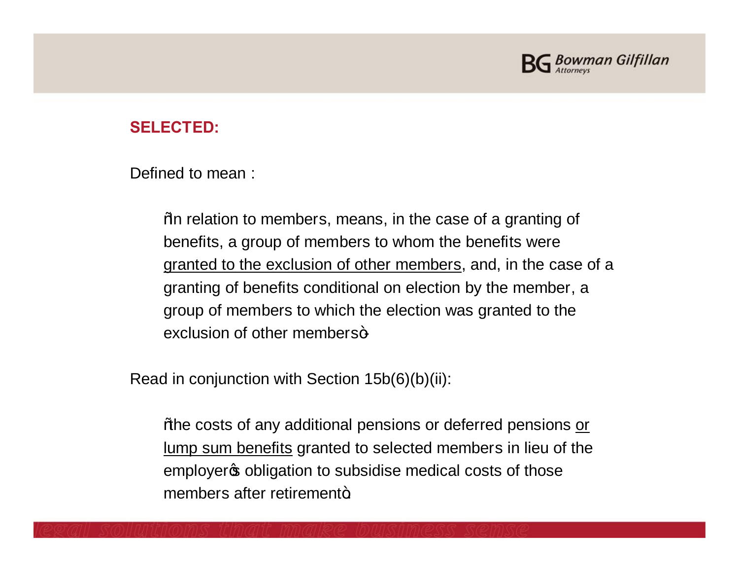

## **SELECTED:**

Defined to mean :

"In relation to members, means, in the case of a granting of benefits, a group of members to whom the benefits were granted to the exclusion of other members, and, in the case of a granting of benefits conditional on election by the member, a group of members to which the election was granted to the exclusion of other members+

Read in conjunction with Section 15b(6)(b)(ii):

% the costs of any additional pensions or deferred pensions or lump sum benefits granted to selected members in lieu of the employer obligation to subsidise medical costs of those members after retirement+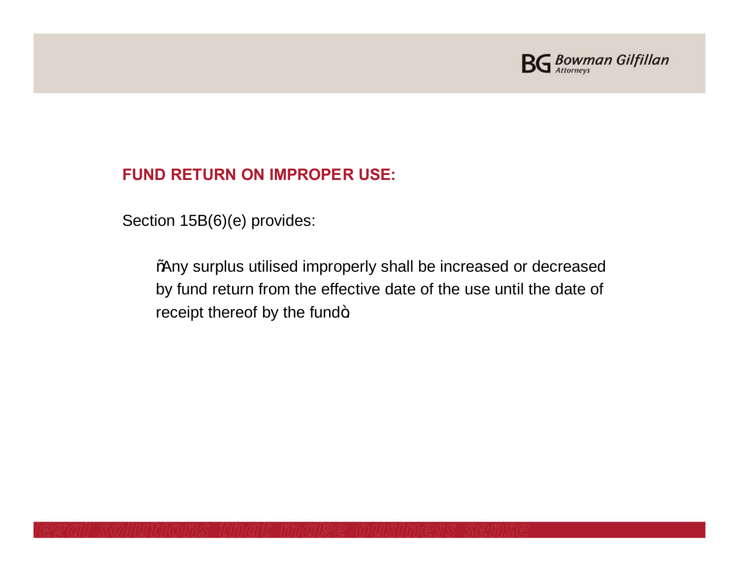

# **FUND RETURN ON IMPROPER USE:**

Section 15B(6)(e) provides:

"Any surplus utilised improperly shall be increased or decreased by fund return from the effective date of the use until the date of receipt thereof by the fund+.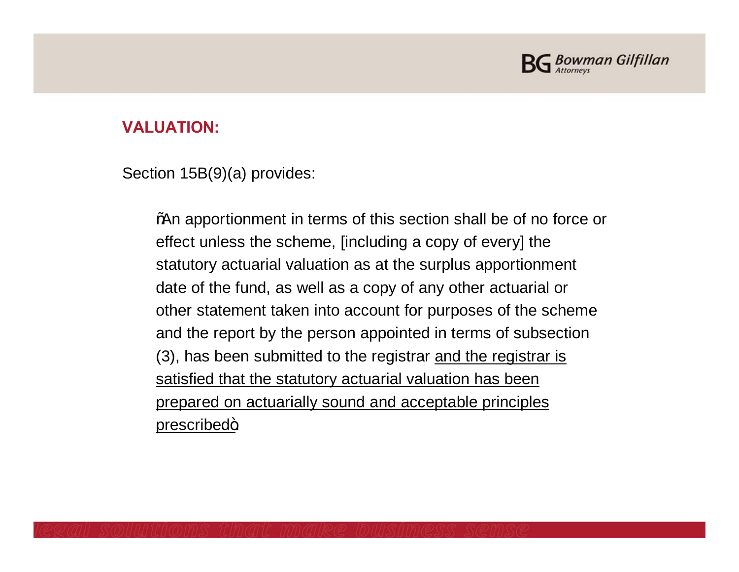

## **VALUATION:**

Section 15B(9)(a) provides:

% % 20 apportionment in terms of this section shall be of no force or effect unless the scheme, [including a copy of every] the statutory actuarial valuation as at the surplus apportionment date of the fund, as well as a copy of any other actuarial or other statement taken into account for purposes of the scheme and the report by the person appointed in terms of subsection (3), has been submitted to the registrar and the registrar is satisfied that the statutory actuarial valuation has been prepared on actuarially sound and acceptable principles prescribed+.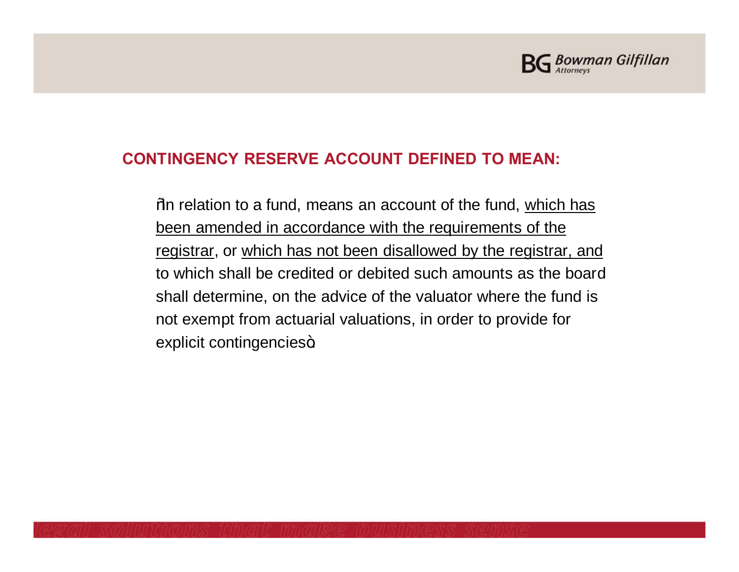

## **CONTINGENCY RESERVE ACCOUNT DEFINED TO MEAN:**

% Yom relation to a fund, means an account of the fund, which has been amended in accordance with the requirements of the registrar, or which has not been disallowed by the registrar, and to which shall be credited or debited such amounts as the board shall determine, on the advice of the valuator where the fund is not exempt from actuarial valuations, in order to provide for explicit contingencies+.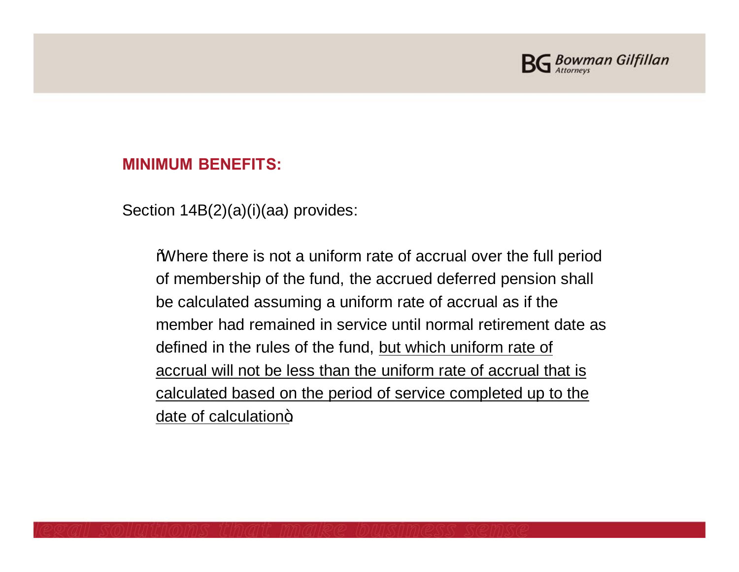

### **MINIMUM BENEFITS:**

Section 14B(2)(a)(i)(aa) provides:

"Where there is not a uniform rate of accrual over the full period of membership of the fund, the accrued deferred pension shall be calculated assuming a uniform rate of accrual as if the member had remained in service until normal retirement date as defined in the rules of the fund, but which uniform rate of accrual will not be less than the uniform rate of accrual that is calculated based on the period of service completed up to the date of calculation+.